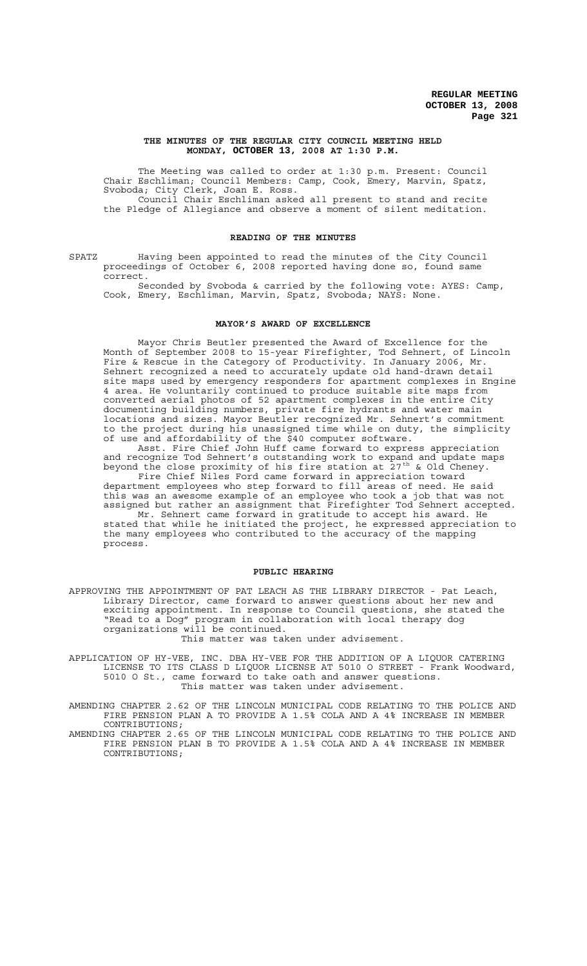#### **THE MINUTES OF THE REGULAR CITY COUNCIL MEETING HELD MONDAY, OCTOBER 13, 2008 AT 1:30 P.M.**

The Meeting was called to order at 1:30 p.m. Present: Council Chair Eschliman; Council Members: Camp, Cook, Emery, Marvin, Spatz, Svoboda; City Clerk, Joan E. Ross. Council Chair Eschliman asked all present to stand and recite the Pledge of Allegiance and observe a moment of silent meditation.

#### **READING OF THE MINUTES**

SPATZ Having been appointed to read the minutes of the City Council proceedings of October 6, 2008 reported having done so, found same correct.

Seconded by Svoboda & carried by the following vote: AYES: Camp, Cook, Emery, Eschliman, Marvin, Spatz, Svoboda; NAYS: None.

### **MAYOR'S AWARD OF EXCELLENCE**

Mayor Chris Beutler presented the Award of Excellence for the Month of September 2008 to 15-year Firefighter, Tod Sehnert, of Lincoln Fire & Rescue in the Category of Productivity. In January 2006, Mr. Sehnert recognized a need to accurately update old hand-drawn detail site maps used by emergency responders for apartment complexes in Engine 4 area. He voluntarily continued to produce suitable site maps from converted aerial photos of 52 apartment complexes in the entire City documenting building numbers, private fire hydrants and water main locations and sizes. Mayor Beutler recognized Mr. Sehnert's commitment to the project during his unassigned time while on duty, the simplicity of use and affordability of the \$40 computer software.

Asst. Fire Chief John Huff came forward to express appreciation and recognize Tod Sehnert's outstanding work to expand and update maps beyond the close proximity of his fire station at  $27^{\text{th}}$  & Old Cheney. Fire Chief Niles Ford came forward in appreciation toward department employees who step forward to fill areas of need. He said this was an awesome example of an employee who took a job that was not assigned but rather an assignment that Firefighter Tod Sehnert accepted. Mr. Sehnert came forward in gratitude to accept his award. He stated that while he initiated the project, he expressed appreciation to the many employees who contributed to the accuracy of the mapping process.

#### **PUBLIC HEARING**

APPROVING THE APPOINTMENT OF PAT LEACH AS THE LIBRARY DIRECTOR - Pat Leach, Library Director, came forward to answer questions about her new and exciting appointment. In response to Council questions, she stated the "Read to a Dog" program in collaboration with local therapy dog organizations will be continued.

This matter was taken under advisement.

APPLICATION OF HY-VEE, INC. DBA HY-VEE FOR THE ADDITION OF A LIQUOR CATERING LICENSE TO ITS CLASS D LIQUOR LICENSE AT 5010 O STREET - Frank Woodward, 5010 O St., came forward to take oath and answer questions. This matter was taken under advisement.

AMENDING CHAPTER 2.62 OF THE LINCOLN MUNICIPAL CODE RELATING TO THE POLICE AND FIRE PENSION PLAN A TO PROVIDE A 1.5% COLA AND A 4% INCREASE IN MEMBER CONTRIBUTIONS;

AMENDING CHAPTER 2.65 OF THE LINCOLN MUNICIPAL CODE RELATING TO THE POLICE AND FIRE PENSION PLAN B TO PROVIDE A 1.5% COLA AND A 4% INCREASE IN MEMBER CONTRIBUTIONS;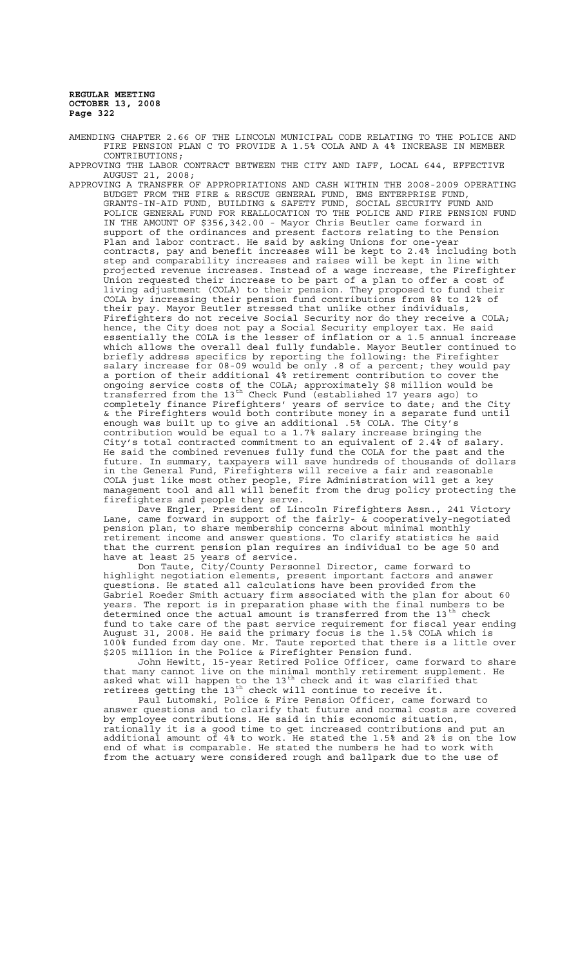AMENDING CHAPTER 2.66 OF THE LINCOLN MUNICIPAL CODE RELATING TO THE POLICE AND FIRE PENSION PLAN C TO PROVIDE A 1.5% COLA AND A 4% INCREASE IN MEMBER CONTRIBUTIONS;

APPROVING THE LABOR CONTRACT BETWEEN THE CITY AND IAFF, LOCAL 644, EFFECTIVE AUGUST 21, 2008;

APPROVING A TRANSFER OF APPROPRIATIONS AND CASH WITHIN THE 2008-2009 OPERATING BUDGET FROM THE FIRE & RESCUE GENERAL FUND, EMS ENTERPRISE FUND, GRANTS-IN-AID FUND, BUILDING & SAFETY FUND, SOCIAL SECURITY FUND AND POLICE GENERAL FUND FOR REALLOCATION TO THE POLICE AND FIRE PENSION FUND IN THE AMOUNT OF \$356,342.00 - Mayor Chris Beutler came forward in support of the ordinances and present factors relating to the Pension Plan and labor contract. He said by asking Unions for one-year contracts, pay and benefit increases will be kept to 2.4% including both step and comparability increases and raises will be kept in line with projected revenue increases. Instead of a wage increase, the Firefighter Union requested their increase to be part of a plan to offer a cost of living adjustment (COLA) to their pension. They proposed to fund their COLA by increasing their pension fund contributions from 8% to 12% of their pay. Mayor Beutler stressed that unlike other individuals, Firefighters do not receive Social Security nor do they receive a COLA; hence, the City does not pay a Social Security employer tax. He said essentially the COLA is the lesser of inflation or a 1.5 annual increase which allows the overall deal fully fundable. Mayor Beutler continued to briefly address specifics by reporting the following: the Firefighter salary increase for 08-09 would be only .8 of a percent; they would pay a portion of their additional 4% retirement contribution to cover the ongoing service costs of the COLA; approximately \$8 million would be transferred from the 13th Check Fund (established 17 years ago) to completely finance Firefighters' years of service to date; and the City & the Firefighters would both contribute money in a separate fund until enough was built up to give an additional .5% COLA. The City's contribution would be equal to a 1.7% salary increase bringing the City's total contracted commitment to an equivalent of 2.4% of salary. He said the combined revenues fully fund the COLA for the past and the future. In summary, taxpayers will save hundreds of thousands of dollars in the General Fund, Firefighters will receive a fair and reasonable COLA just like most other people, Fire Administration will get a key management tool and all will benefit from the drug policy protecting the firefighters and people they serve.

Dave Engler, President of Lincoln Firefighters Assn., 241 Victory Lane, came forward in support of the fairly- & cooperatively-negotiated pension plan, to share membership concerns about minimal monthly retirement income and answer questions. To clarify statistics he said that the current pension plan requires an individual to be age 50 and have at least 25 years of service.

Don Taute, City/County Personnel Director, came forward to highlight negotiation elements, present important factors and answer questions. He stated all calculations have been provided from the Gabriel Roeder Smith actuary firm associated with the plan for about 60 years. The report is in preparation phase with the final numbers to be determined once the actual amount is transferred from the 13<sup>th</sup> check fund to take care of the past service requirement for fiscal year ending August 31, 2008. He said the primary focus is the 1.5% COLA which is 100% funded from day one. Mr. Taute reported that there is a little over \$205 million in the Police & Firefighter Pension fund.

John Hewitt, 15-year Retired Police Officer, came forward to share that many cannot live on the minimal monthly retirement supplement. He asked what will happen to the 13<sup>th</sup> check and it was clarified that retirees getting the 13<sup>th</sup> check will continue to receive it.

Paul Lutomski, Police & Fire Pension Officer, came forward to answer questions and to clarify that future and normal costs are covered by employee contributions. He said in this economic situation, rationally it is a good time to get increased contributions and put an additional amount of 4% to work. He stated the 1.5% and 2% is on the low end of what is comparable. He stated the numbers he had to work with from the actuary were considered rough and ballpark due to the use of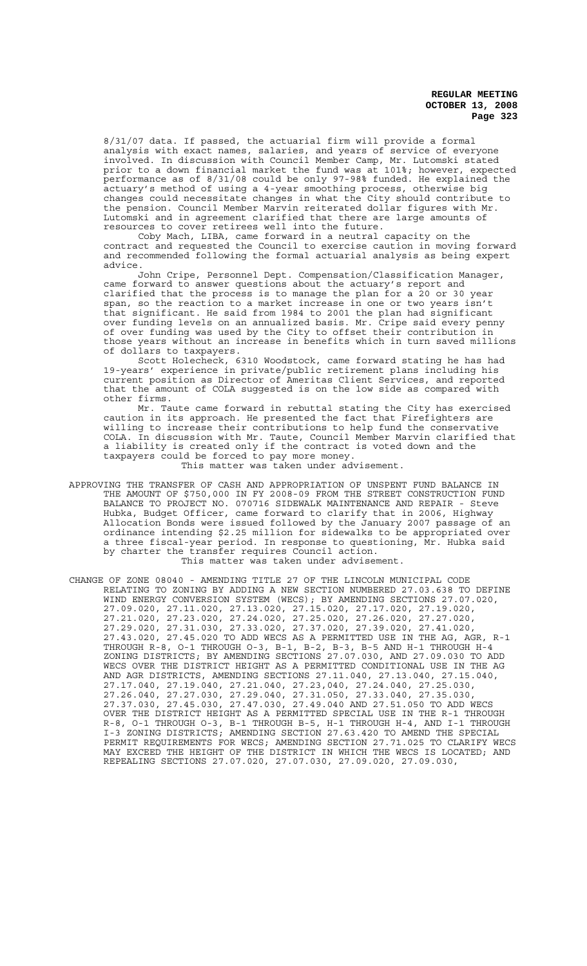8/31/07 data. If passed, the actuarial firm will provide a formal analysis with exact names, salaries, and years of service of everyone involved. In discussion with Council Member Camp, Mr. Lutomski stated prior to a down financial market the fund was at 101%; however, expected performance as of 8/31/08 could be only 97-98% funded. He explained the actuary's method of using a 4-year smoothing process, otherwise big changes could necessitate changes in what the City should contribute to the pension. Council Member Marvin reiterated dollar figures with Mr. Lutomski and in agreement clarified that there are large amounts of resources to cover retirees well into the future.

Coby Mach, LIBA, came forward in a neutral capacity on the contract and requested the Council to exercise caution in moving forward and recommended following the formal actuarial analysis as being expert advice.

John Cripe, Personnel Dept. Compensation/Classification Manager, came forward to answer questions about the actuary's report and clarified that the process is to manage the plan for a 20 or 30 year span, so the reaction to a market increase in one or two years isn't that significant. He said from 1984 to 2001 the plan had significant over funding levels on an annualized basis. Mr. Cripe said every penny of over funding was used by the City to offset their contribution in those years without an increase in benefits which in turn saved millions of dollars to taxpayers.

Scott Holecheck, 6310 Woodstock, came forward stating he has had 19-years' experience in private/public retirement plans including his current position as Director of Ameritas Client Services, and reported that the amount of COLA suggested is on the low side as compared with other firms.

Mr. Taute came forward in rebuttal stating the City has exercised caution in its approach. He presented the fact that Firefighters are willing to increase their contributions to help fund the conservative COLA. In discussion with Mr. Taute, Council Member Marvin clarified that a liability is created only if the contract is voted down and the taxpayers could be forced to pay more money.

This matter was taken under advisement.

- APPROVING THE TRANSFER OF CASH AND APPROPRIATION OF UNSPENT FUND BALANCE IN THE AMOUNT OF \$750,000 IN FY 2008-09 FROM THE STREET CONSTRUCTION FUND BALANCE TO PROJECT NO. 070716 SIDEWALK MAINTENANCE AND REPAIR - Steve Hubka, Budget Officer, came forward to clarify that in 2006, Highway Allocation Bonds were issued followed by the January 2007 passage of an ordinance intending \$2.25 million for sidewalks to be appropriated over a three fiscal-year period. In response to questioning, Mr. Hubka said by charter the transfer requires Council action. This matter was taken under advisement.
- CHANGE OF ZONE 08040 AMENDING TITLE 27 OF THE LINCOLN MUNICIPAL CODE RELATING TO ZONING BY ADDING A NEW SECTION NUMBERED 27.03.638 TO DEFINE WIND ENERGY CONVERSION SYSTEM (WECS); BY AMENDING SECTIONS 27.07.020, 27.09.020, 27.11.020, 27.13.020, 27.15.020, 27.17.020, 27.19.020, 27.21.020, 27.23.020, 27.24.020, 27.25.020, 27.26.020, 27.27.020, 27.29.020, 27.31.030, 27.33.020, 27.37.020, 27.39.020, 27.41.020, 27.43.020, 27.45.020 TO ADD WECS AS A PERMITTED USE IN THE AG, AGR, R-1 THROUGH R-8, O-1 THROUGH O-3, B-1, B-2, B-3, B-5 AND H-1 THROUGH H-4 ZONING DISTRICTS; BY AMENDING SECTIONS 27.07.030, AND 27.09.030 TO ADD WECS OVER THE DISTRICT HEIGHT AS A PERMITTED CONDITIONAL USE IN THE AG AND AGR DISTRICTS, AMENDING SECTIONS 27.11.040, 27.13.040, 27.15.040, 27.17.040, 27.19.040, 27.21.040, 27.23,040, 27.24.040, 27.25.030, 27.26.040, 27.27.030, 27.29.040, 27.31.050, 27.33.040, 27.35.030, 27.37.030, 27.45.030, 27.47.030, 27.49.040 AND 27.51.050 TO ADD WECS OVER THE DISTRICT HEIGHT AS A PERMITTED SPECIAL USE IN THE R-1 THROUGH R-8, O-1 THROUGH O-3, B-1 THROUGH B-5, H-1 THROUGH H-4, AND I-1 THROUGH I-3 ZONING DISTRICTS; AMENDING SECTION 27.63.420 TO AMEND THE SPECIAL PERMIT REQUIREMENTS FOR WECS; AMENDING SECTION 27.71.025 TO CLARIFY WECS MAY EXCEED THE HEIGHT OF THE DISTRICT IN WHICH THE WECS IS LOCATED; AND REPEALING SECTIONS 27.07.020, 27.07.030, 27.09.020, 27.09.030,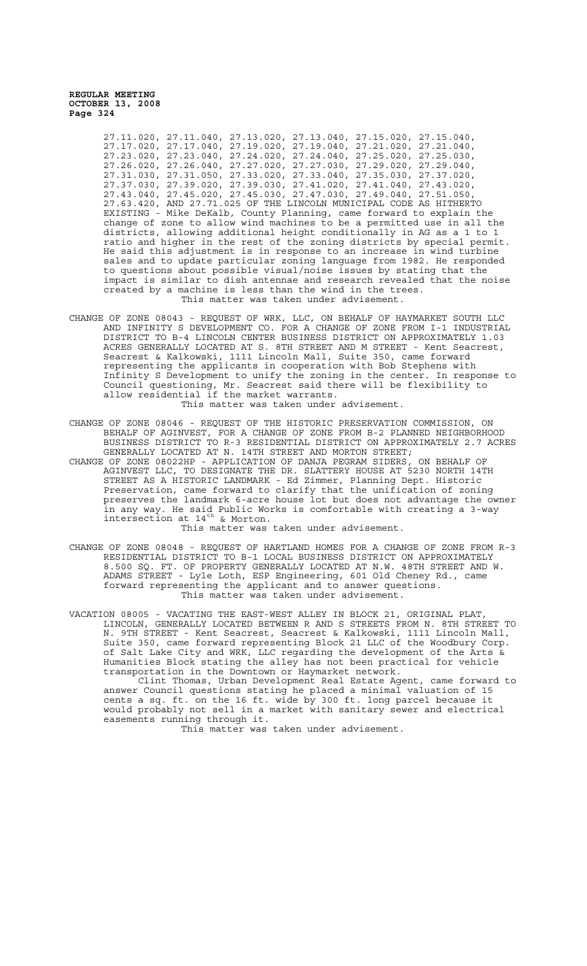> 27.11.020, 27.11.040, 27.13.020, 27.13.040, 27.15.020, 27.15.040, 27.17.020, 27.17.040, 27.19.020, 27.19.040, 27.21.020, 27.21.040, 27.23.020, 27.23.040, 27.24.020, 27.24.040, 27.25.020, 27.25.030, 27.26.020, 27.26.040, 27.27.020, 27.27.030, 27.29.020, 27.29.040, 27.31.030, 27.31.050, 27.33.020, 27.33.040, 27.35.030, 27.37.020, 27.37.030, 27.39.020, 27.39.030, 27.41.020, 27.41.040, 27.43.020, 27.43.040, 27.45.020, 27.45.030, 27.47.030, 27.49.040, 27.51.050, 27.63.420, AND 27.71.025 OF THE LINCOLN MUNICIPAL CODE AS HITHERTO EXISTING - Mike DeKalb, County Planning, came forward to explain the change of zone to allow wind machines to be a permitted use in all the districts, allowing additional height conditionally in AG as a 1 to 1 ratio and higher in the rest of the zoning districts by special permit. He said this adjustment is in response to an increase in wind turbine sales and to update particular zoning language from 1982. He responded to questions about possible visual/noise issues by stating that the impact is similar to dish antennae and research revealed that the noise created by a machine is less than the wind in the trees. This matter was taken under advisement.

- CHANGE OF ZONE 08043 REQUEST OF WRK, LLC, ON BEHALF OF HAYMARKET SOUTH LLC AND INFINITY S DEVELOPMENT CO. FOR A CHANGE OF ZONE FROM I-1 INDUSTRIAL DISTRICT TO B-4 LINCOLN CENTER BUSINESS DISTRICT ON APPROXIMATELY 1.03 ACRES GENERALLY LOCATED AT S. 8TH STREET AND M STREET - Kent Seacrest, Seacrest & Kalkowski, 1111 Lincoln Mall, Suite 350, came forward representing the applicants in cooperation with Bob Stephens with Infinity S Development to unify the zoning in the center. In response to Council questioning, Mr. Seacrest said there will be flexibility to allow residential if the market warrants. This matter was taken under advisement.
- CHANGE OF ZONE 08046 REQUEST OF THE HISTORIC PRESERVATION COMMISSION, ON BEHALF OF AGINVEST, FOR A CHANGE OF ZONE FROM B-2 PLANNED NEIGHBORHOOD BUSINESS DISTRICT TO R-3 RESIDENTIAL DISTRICT ON APPROXIMATELY 2.7 ACRES GENERALLY LOCATED AT N. 14TH STREET AND MORTON STREET;

CHANGE OF ZONE 08022HP - APPLICATION OF DANJA PEGRAM SIDERS, ON BEHALF OF AGINVEST LLC, TO DESIGNATE THE DR. SLATTERY HOUSE AT 5230 NORTH 14TH STREET AS A HISTORIC LANDMARK - Ed Zimmer, Planning Dept. Historic Preservation, came forward to clarify that the unification of zoning preserves the landmark 6-acre house lot but does not advantage the owner in any way. He said Public Works is comfortable with creating a 3-way intersection at  $14^{\text{th}}$  & Morton.

This matter was taken under advisement.

CHANGE OF ZONE 08048 - REQUEST OF HARTLAND HOMES FOR A CHANGE OF ZONE FROM R-3 RESIDENTIAL DISTRICT TO B-1 LOCAL BUSINESS DISTRICT ON APPROXIMATELY 8.500 SQ. FT. OF PROPERTY GENERALLY LOCATED AT N.W. 48TH STREET AND W. ADAMS STREET - Lyle Loth, ESP Engineering, 601 Old Cheney Rd., came forward representing the applicant and to answer questions. This matter was taken under advisement.

VACATION 08005 - VACATING THE EAST-WEST ALLEY IN BLOCK 21, ORIGINAL PLAT, LINCOLN, GENERALLY LOCATED BETWEEN R AND S STREETS FROM N. 8TH STREET TO N. 9TH STREET - Kent Seacrest, Seacrest & Kalkowski, 1111 Lincoln Mall, Suite 350, came forward representing Block 21 LLC of the Woodbury Corp. of Salt Lake City and WRK, LLC regarding the development of the Arts & Humanities Block stating the alley has not been practical for vehicle transportation in the Downtown or Haymarket network.

Clint Thomas, Urban Development Real Estate Agent, came forward to answer Council questions stating he placed a minimal valuation of 15 cents a sq. ft. on the 16 ft. wide by 300 ft. long parcel because it would probably not sell in a market with sanitary sewer and electrical easements running through it.

This matter was taken under advisement.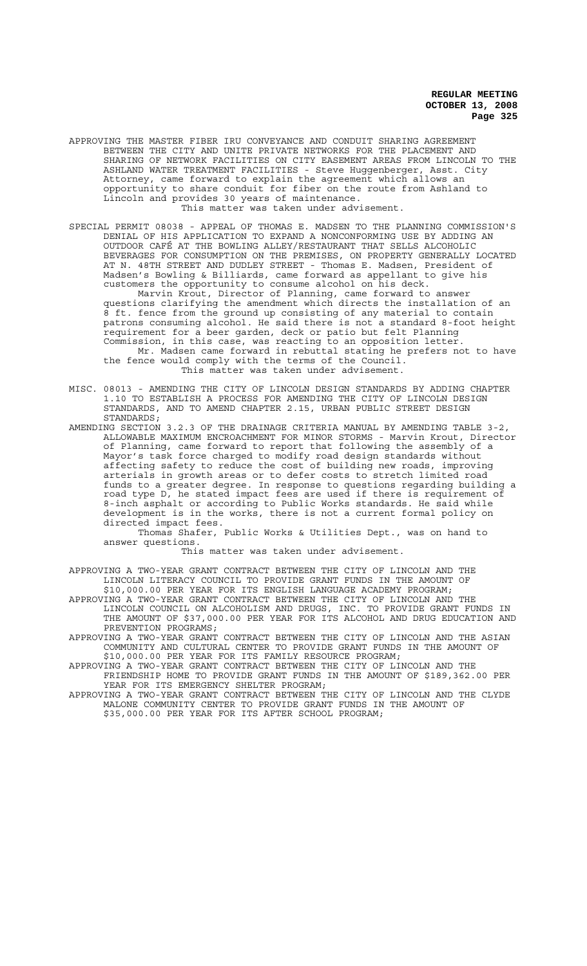APPROVING THE MASTER FIBER IRU CONVEYANCE AND CONDUIT SHARING AGREEMENT BETWEEN THE CITY AND UNITE PRIVATE NETWORKS FOR THE PLACEMENT AND SHARING OF NETWORK FACILITIES ON CITY EASEMENT AREAS FROM LINCOLN TO THE ASHLAND WATER TREATMENT FACILITIES - Steve Huggenberger, Asst. City Attorney, came forward to explain the agreement which allows an opportunity to share conduit for fiber on the route from Ashland to Lincoln and provides 30 years of maintenance. This matter was taken under advisement.

SPECIAL PERMIT 08038 - APPEAL OF THOMAS E. MADSEN TO THE PLANNING COMMISSION'S DENIAL OF HIS APPLICATION TO EXPAND A NONCONFORMING USE BY ADDING AN OUTDOOR CAFÉ AT THE BOWLING ALLEY/RESTAURANT THAT SELLS ALCOHOLIC BEVERAGES FOR CONSUMPTION ON THE PREMISES, ON PROPERTY GENERALLY LOCATED AT N. 48TH STREET AND DUDLEY STREET - Thomas E. Madsen, President of Madsen's Bowling & Billiards, came forward as appellant to give his customers the opportunity to consume alcohol on his deck. Marvin Krout, Director of Planning, came forward to answer questions clarifying the amendment which directs the installation of an 8 ft. fence from the ground up consisting of any material to contain patrons consuming alcohol. He said there is not a standard 8-foot height requirement for a beer garden, deck or patio but felt Planning Commission, in this case, was reacting to an opposition letter.

Mr. Madsen came forward in rebuttal stating he prefers not to have the fence would comply with the terms of the Council. This matter was taken under advisement.

- MISC. 08013 AMENDING THE CITY OF LINCOLN DESIGN STANDARDS BY ADDING CHAPTER 1.10 TO ESTABLISH A PROCESS FOR AMENDING THE CITY OF LINCOLN DESIGN STANDARDS, AND TO AMEND CHAPTER 2.15, URBAN PUBLIC STREET DESIGN STANDARDS;
- AMENDING SECTION 3.2.3 OF THE DRAINAGE CRITERIA MANUAL BY AMENDING TABLE 3-2, ALLOWABLE MAXIMUM ENCROACHMENT FOR MINOR STORMS - Marvin Krout, Director of Planning, came forward to report that following the assembly of a Mayor's task force charged to modify road design standards without affecting safety to reduce the cost of building new roads, improving arterials in growth areas or to defer costs to stretch limited road funds to a greater degree. In response to questions regarding building a road type D, he stated impact fees are used if there is requirement of 8-inch asphalt or according to Public Works standards. He said while development is in the works, there is not a current formal policy on directed impact fees.

Thomas Shafer, Public Works & Utilities Dept., was on hand to answer questions.

This matter was taken under advisement.

APPROVING A TWO-YEAR GRANT CONTRACT BETWEEN THE CITY OF LINCOLN AND THE LINCOLN LITERACY COUNCIL TO PROVIDE GRANT FUNDS IN THE AMOUNT OF \$10,000.00 PER YEAR FOR ITS ENGLISH LANGUAGE ACADEMY PROGRAM;

APPROVING A TWO-YEAR GRANT CONTRACT BETWEEN THE CITY OF LINCOLN AND THE LINCOLN COUNCIL ON ALCOHOLISM AND DRUGS, INC. TO PROVIDE GRANT FUNDS IN THE AMOUNT OF \$37,000.00 PER YEAR FOR ITS ALCOHOL AND DRUG EDUCATION AND PREVENTION PROGRAMS;

APPROVING A TWO-YEAR GRANT CONTRACT BETWEEN THE CITY OF LINCOLN AND THE ASIAN COMMUNITY AND CULTURAL CENTER TO PROVIDE GRANT FUNDS IN THE AMOUNT OF \$10,000.00 PER YEAR FOR ITS FAMILY RESOURCE PROGRAM;

APPROVING A TWO-YEAR GRANT CONTRACT BETWEEN THE CITY OF LINCOLN AND THE FRIENDSHIP HOME TO PROVIDE GRANT FUNDS IN THE AMOUNT OF \$189,362.00 PER YEAR FOR ITS EMERGENCY SHELTER PROGRAM;

APPROVING A TWO-YEAR GRANT CONTRACT BETWEEN THE CITY OF LINCOLN AND THE CLYDE MALONE COMMUNITY CENTER TO PROVIDE GRANT FUNDS IN THE AMOUNT OF \$35,000.00 PER YEAR FOR ITS AFTER SCHOOL PROGRAM;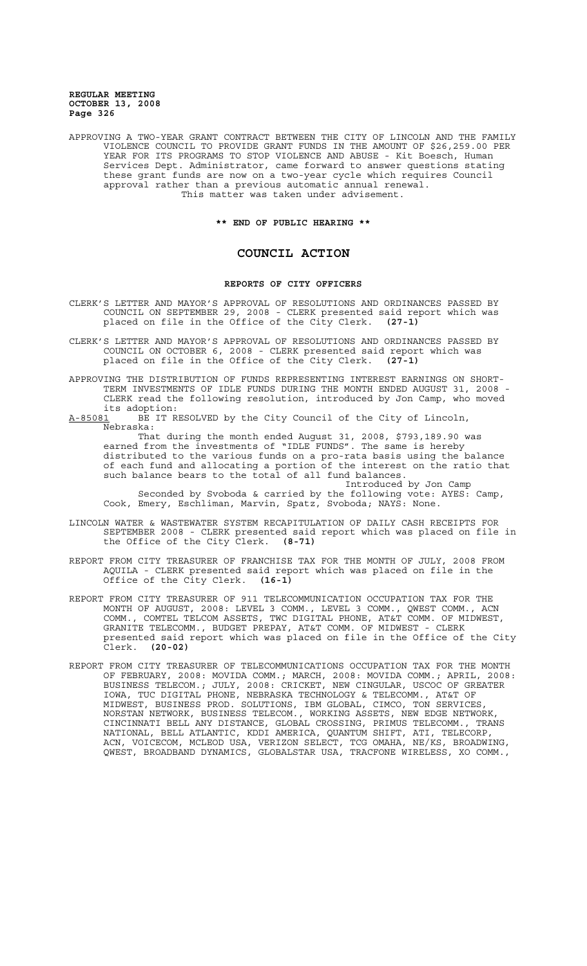APPROVING A TWO-YEAR GRANT CONTRACT BETWEEN THE CITY OF LINCOLN AND THE FAMILY VIOLENCE COUNCIL TO PROVIDE GRANT FUNDS IN THE AMOUNT OF \$26,259.00 PER YEAR FOR ITS PROGRAMS TO STOP VIOLENCE AND ABUSE - Kit Boesch, Human Services Dept. Administrator, came forward to answer questions stating these grant funds are now on a two-year cycle which requires Council approval rather than a previous automatic annual renewal. This matter was taken under advisement.

**\*\* END OF PUBLIC HEARING \*\***

## **COUNCIL ACTION**

#### **REPORTS OF CITY OFFICERS**

CLERK'S LETTER AND MAYOR'S APPROVAL OF RESOLUTIONS AND ORDINANCES PASSED BY COUNCIL ON SEPTEMBER 29, 2008 - CLERK presented said report which was<br>placed on file in the Office of the City Clerk. (27-1) placed on file in the Office of the City Clerk.

CLERK'S LETTER AND MAYOR'S APPROVAL OF RESOLUTIONS AND ORDINANCES PASSED BY COUNCIL ON OCTOBER 6, 2008 - CLERK presented said report which was placed on file in the Office of the City Clerk. **(27-1)**

APPROVING THE DISTRIBUTION OF FUNDS REPRESENTING INTEREST EARNINGS ON SHORT-TERM INVESTMENTS OF IDLE FUNDS DURING THE MONTH ENDED AUGUST 31, 2008 - CLERK read the following resolution, introduced by Jon Camp, who moved

its adoption:<br><u>A-85081</u> BE IT R BE IT RESOLVED by the City Council of the City of Lincoln, Nebraska:

That during the month ended August 31, 2008, \$793,189.90 was earned from the investments of "IDLE FUNDS". The same is hereby distributed to the various funds on a pro-rata basis using the balance of each fund and allocating a portion of the interest on the ratio that such balance bears to the total of all fund balances.

Introduced by Jon Camp Seconded by Svoboda & carried by the following vote: AYES: Camp, Cook, Emery, Eschliman, Marvin, Spatz, Svoboda; NAYS: None.

- LINCOLN WATER & WASTEWATER SYSTEM RECAPITULATION OF DAILY CASH RECEIPTS FOR SEPTEMBER 2008 - CLERK presented said report which was placed on file in the Office of the City Clerk. **(8-71)**
- REPORT FROM CITY TREASURER OF FRANCHISE TAX FOR THE MONTH OF JULY, 2008 FROM AQUILA - CLERK presented said report which was placed on file in the Office of the City Clerk. (16-1) Office of the City Clerk. **(16-1)**
- REPORT FROM CITY TREASURER OF 911 TELECOMMUNICATION OCCUPATION TAX FOR THE MONTH OF AUGUST, 2008: LEVEL 3 COMM., LEVEL 3 COMM., QWEST COMM., ACN COMM., COMTEL TELCOM ASSETS, TWC DIGITAL PHONE, AT&T COMM. OF MIDWEST, GRANITE TELECOMM., BUDGET PREPAY, AT&T COMM. OF MIDWEST - CLERK presented said report which was placed on file in the Office of the City Clerk. **(20-02)**
- REPORT FROM CITY TREASURER OF TELECOMMUNICATIONS OCCUPATION TAX FOR THE MONTH OF FEBRUARY, 2008: MOVIDA COMM.; MARCH, 2008: MOVIDA COMM.; APRIL, 2008: BUSINESS TELECOM.; JULY, 2008: CRICKET, NEW CINGULAR, USCOC OF GREATER IOWA, TUC DIGITAL PHONE, NEBRASKA TECHNOLOGY & TELECOMM., AT&T OF MIDWEST, BUSINESS PROD. SOLUTIONS, IBM GLOBAL, CIMCO, TON SERVICES, NORSTAN NETWORK, BUSINESS TELECOM., WORKING ASSETS, NEW EDGE NETWORK, CINCINNATI BELL ANY DISTANCE, GLOBAL CROSSING, PRIMUS TELECOMM., TRANS NATIONAL, BELL ATLANTIC, KDDI AMERICA, QUANTUM SHIFT, ATI, TELECORP, ACN, VOICECOM, MCLEOD USA, VERIZON SELECT, TCG OMAHA, NE/KS, BROADWING, QWEST, BROADBAND DYNAMICS, GLOBALSTAR USA, TRACFONE WIRELESS, XO COMM.,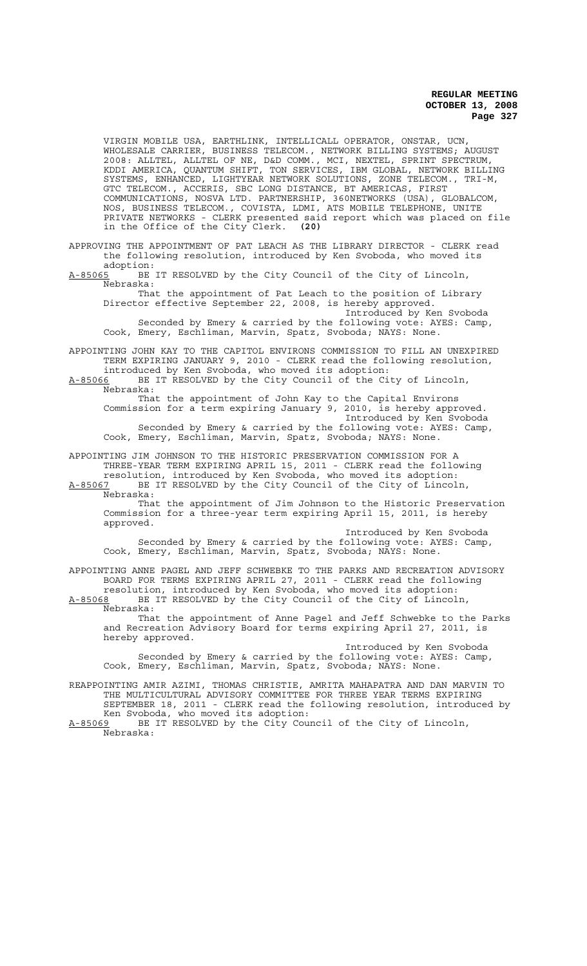VIRGIN MOBILE USA, EARTHLINK, INTELLICALL OPERATOR, ONSTAR, UCN, WHOLESALE CARRIER, BUSINESS TELECOM., NETWORK BILLING SYSTEMS; AUGUST 2008: ALLTEL, ALLTEL OF NE, D&D COMM., MCI, NEXTEL, SPRINT SPECTRUM, KDDI AMERICA, QUANTUM SHIFT, TON SERVICES, IBM GLOBAL, NETWORK BILLING SYSTEMS, ENHANCED, LIGHTYEAR NETWORK SOLUTIONS, ZONE TELECOM., TRI-M, GTC TELECOM., ACCERIS, SBC LONG DISTANCE, BT AMERICAS, FIRST COMMUNICATIONS, NOSVA LTD. PARTNERSHIP, 360NETWORKS (USA), GLOBALCOM, NOS, BUSINESS TELECOM., COVISTA, LDMI, ATS MOBILE TELEPHONE, UNITE PRIVATE NETWORKS - CLERK presented said report which was placed on file in the Office of the City Clerk. **(20)**

APPROVING THE APPOINTMENT OF PAT LEACH AS THE LIBRARY DIRECTOR - CLERK read the following resolution, introduced by Ken Svoboda, who moved its

adoption:<br><u>A-85065</u> BE BE IT RESOLVED by the City Council of the City of Lincoln, Nebraska:

That the appointment of Pat Leach to the position of Library Director effective September 22, 2008, is hereby approved. Introduced by Ken Svoboda Seconded by Emery & carried by the following vote: AYES: Camp, Cook, Emery, Eschliman, Marvin, Spatz, Svoboda; NAYS: None.

APPOINTING JOHN KAY TO THE CAPITOL ENVIRONS COMMISSION TO FILL AN UNEXPIRED TERM EXPIRING JANUARY 9, 2010 - CLERK read the following resolution, introduced by Ken Svoboda, who moved its adoption:

A-85066 BE IT RESOLVED by the City Council of the City of Lincoln, Nebraska:

That the appointment of John Kay to the Capital Environs Commission for a term expiring January 9, 2010, is hereby approved. Introduced by Ken Svoboda Seconded by Emery & carried by the following vote: AYES: Camp, Cook, Emery, Eschliman, Marvin, Spatz, Svoboda; NAYS: None.

APPOINTING JIM JOHNSON TO THE HISTORIC PRESERVATION COMMISSION FOR A THREE-YEAR TERM EXPIRING APRIL 15, 2011 - CLERK read the following resolution, introduced by Ken Svoboda, who moved its adoption:

A-85067 BE IT RESOLVED by the City Council of the City of Lincoln, Nebraska:

That the appointment of Jim Johnson to the Historic Preservation Commission for a three-year term expiring April 15, 2011, is hereby approved.

Introduced by Ken Svoboda Seconded by Emery & carried by the following vote: AYES: Camp, Cook, Emery, Eschliman, Marvin, Spatz, Svoboda; NAYS: None.

APPOINTING ANNE PAGEL AND JEFF SCHWEBKE TO THE PARKS AND RECREATION ADVISORY BOARD FOR TERMS EXPIRING APRIL 27, 2011 - CLERK read the following resolution, introduced by Ken Svoboda, who moved its adoption:

A-85068 BE IT RESOLVED by the City Council of the City of Lincoln, Nebraska:

That the appointment of Anne Pagel and Jeff Schwebke to the Parks and Recreation Advisory Board for terms expiring April 27, 2011, is hereby approved.

Introduced by Ken Svoboda Seconded by Emery & carried by the following vote: AYES: Camp, Cook, Emery, Eschliman, Marvin, Spatz, Svoboda; NAYS: None.

REAPPOINTING AMIR AZIMI, THOMAS CHRISTIE, AMRITA MAHAPATRA AND DAN MARVIN TO THE MULTICULTURAL ADVISORY COMMITTEE FOR THREE YEAR TERMS EXPIRING SEPTEMBER 18, 2011 - CLERK read the following resolution, introduced by Ken Svoboda, who moved its adoption: A-85069 BE IT RESOLVED by the City Council of the City of Lincoln,

Nebraska: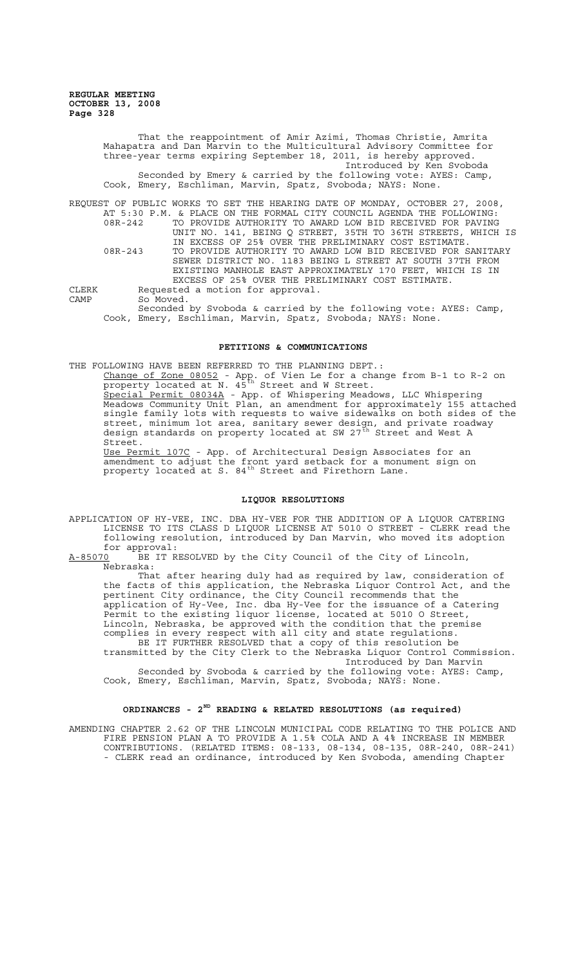> That the reappointment of Amir Azimi, Thomas Christie, Amrita Mahapatra and Dan Marvin to the Multicultural Advisory Committee for three-year terms expiring September 18, 2011, is hereby approved. Introduced by Ken Svoboda Seconded by Emery & carried by the following vote: AYES: Camp, Cook, Emery, Eschliman, Marvin, Spatz, Svoboda; NAYS: None.

REQUEST OF PUBLIC WORKS TO SET THE HEARING DATE OF MONDAY, OCTOBER 27, 2008, AT 5:30 P.M. & PLACE ON THE FORMAL CITY COUNCIL AGENDA THE FOLLOWING: 08R-242 TO PROVIDE AUTHORITY TO AWARD LOW BID RECEIVED FOR PAVING

Street.

UNIT NO. 141, BEING Q STREET, 35TH TO 36TH STREETS, WHICH IS IN EXCESS OF 25% OVER THE PRELIMINARY COST ESTIMATE. 08R-243 TO PROVIDE AUTHORITY TO AWARD LOW BID RECEIVED FOR SANITARY SEWER DISTRICT NO. 1183 BEING L STREET AT SOUTH 37TH FROM EXISTING MANHOLE EAST APPROXIMATELY 170 FEET, WHICH IS IN EXCESS OF 25% OVER THE PRELIMINARY COST ESTIMATE. CLERK Requested a motion for approval.

CAMP So Moved.

Seconded by Svoboda & carried by the following vote: AYES: Camp, Cook, Emery, Eschliman, Marvin, Spatz, Svoboda; NAYS: None.

### **PETITIONS & COMMUNICATIONS**

THE FOLLOWING HAVE BEEN REFERRED TO THE PLANNING DEPT.:

Change of Zone 08052 - App. of Vien Le for a change from B-1 to R-2 on property located at N.  $45^{\text{th}}$  Street and W Street. Special Permit 08034A - App. of Whispering Meadows, LLC Whispering Meadows Community Unit Plan, an amendment for approximately 155 attached single family lots with requests to waive sidewalks on both sides of the street, minimum lot area, sanitary sewer design, and private roadway design standards on property located at SW 27<sup>th</sup> Street and West A

Use Permit 107C - App. of Architectural Design Associates for an amendment to adjust the front yard setback for a monument sign on property located at S.  $84^{\text{th}}$  Street and Firethorn Lane.

### **LIQUOR RESOLUTIONS**

APPLICATION OF HY-VEE, INC. DBA HY-VEE FOR THE ADDITION OF A LIQUOR CATERING LICENSE TO ITS CLASS D LIQUOR LICENSE AT 5010 O STREET - CLERK read the following resolution, introduced by Dan Marvin, who moved its adoption

for approval:<br>A-85070 BE IT R BE IT RESOLVED by the City Council of the City of Lincoln, Nebraska:

That after hearing duly had as required by law, consideration of the facts of this application, the Nebraska Liquor Control Act, and the pertinent City ordinance, the City Council recommends that the application of Hy-Vee, Inc. dba Hy-Vee for the issuance of a Catering Permit to the existing liquor license, located at 5010 O Street, Lincoln, Nebraska, be approved with the condition that the premise complies in every respect with all city and state regulations. BE IT FURTHER RESOLVED that a copy of this resolution be

transmitted by the City Clerk to the Nebraska Liquor Control Commission. Introduced by Dan Marvin Seconded by Svoboda & carried by the following vote: AYES: Camp,

Cook, Emery, Eschliman, Marvin, Spatz, Svoboda; NAYS: None.

#### **ORDINANCES - 2ND READING & RELATED RESOLUTIONS (as required)**

AMENDING CHAPTER 2.62 OF THE LINCOLN MUNICIPAL CODE RELATING TO THE POLICE AND FIRE PENSION PLAN A TO PROVIDE A 1.5% COLA AND A 4% INCREASE IN MEMBER CONTRIBUTIONS. (RELATED ITEMS: 08-133, 08-134, 08-135, 08R-240, 08R-241) - CLERK read an ordinance, introduced by Ken Svoboda, amending Chapter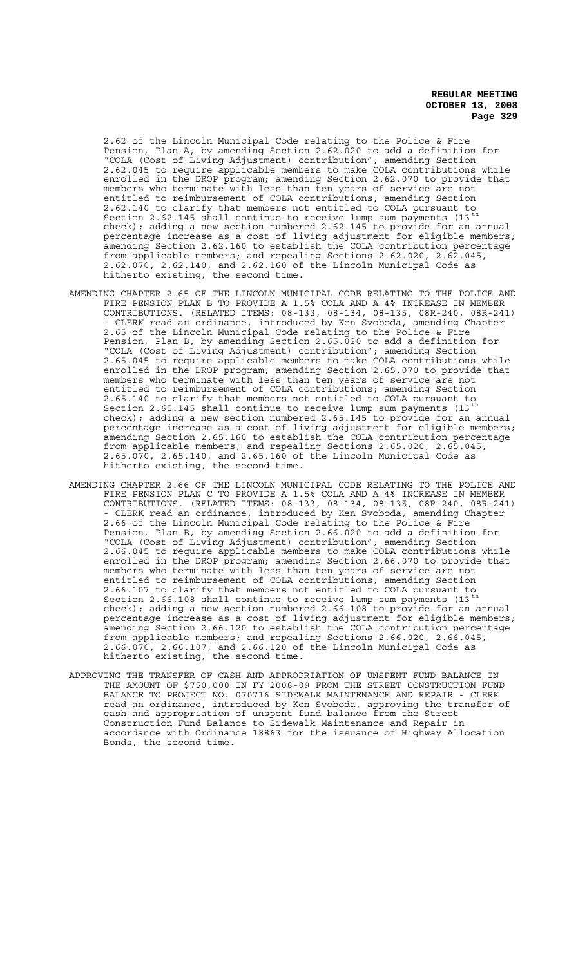2.62 of the Lincoln Municipal Code relating to the Police & Fire Pension, Plan A, by amending Section 2.62.020 to add a definition for "COLA (Cost of Living Adjustment) contribution"; amending Section 2.62.045 to require applicable members to make COLA contributions while enrolled in the DROP program; amending Section 2.62.070 to provide that members who terminate with less than ten years of service are not entitled to reimbursement of COLA contributions; amending Section 2.62.140 to clarify that members not entitled to COLA pursuant to Section 2.62.145 shall continue to receive lump sum payments (13 check); adding a new section numbered 2.62.145 to provide for an annual percentage increase as a cost of living adjustment for eligible members; amending Section 2.62.160 to establish the COLA contribution percentage from applicable members; and repealing Sections 2.62.020, 2.62.045, 2.62.070, 2.62.140, and 2.62.160 of the Lincoln Municipal Code as hitherto existing, the second time.

- AMENDING CHAPTER 2.65 OF THE LINCOLN MUNICIPAL CODE RELATING TO THE POLICE AND FIRE PENSION PLAN B TO PROVIDE A 1.5% COLA AND A 4% INCREASE IN MEMBER CONTRIBUTIONS. (RELATED ITEMS: 08-133, 08-134, 08-135, 08R-240, 08R-241) - CLERK read an ordinance, introduced by Ken Svoboda, amending Chapter 2.65 of the Lincoln Municipal Code relating to the Police & Fire Pension, Plan B, by amending Section 2.65.020 to add a definition for "COLA (Cost of Living Adjustment) contribution"; amending Section 2.65.045 to require applicable members to make COLA contributions while enrolled in the DROP program; amending Section 2.65.070 to provide that members who terminate with less than ten years of service are not entitled to reimbursement of COLA contributions; amending Section 2.65.140 to clarify that members not entitled to COLA pursuant Section 2.65.145  $\sinh$  and  $\sinh$  and  $\sin$  and  $\sin$   $\sin$   $\sin$   $\sin$ check); adding a new section numbered 2.65.145 to provide for an annual percentage increase as a cost of living adjustment for eligible members; amending Section 2.65.160 to establish the COLA contribution percentage from applicable members; and repealing Sections 2.65.020, 2.65.045, 2.65.070, 2.65.140, and 2.65.160 of the Lincoln Municipal Code as hitherto existing, the second time.
- AMENDING CHAPTER 2.66 OF THE LINCOLN MUNICIPAL CODE RELATING TO THE POLICE AND FIRE PENSION PLAN C TO PROVIDE A 1.5% COLA AND A 4% INCREASE IN MEMBER CONTRIBUTIONS. (RELATED ITEMS: 08-133, 08-134, 08-135, 08R-240, 08R-241) - CLERK read an ordinance, introduced by Ken Svoboda, amending Chapter 2.66 of the Lincoln Municipal Code relating to the Police & Fire Pension, Plan B, by amending Section 2.66.020 to add a definition for "COLA (Cost of Living Adjustment) contribution"; amending Section 2.66.045 to require applicable members to make COLA contributions while enrolled in the DROP program; amending Section 2.66.070 to provide that members who terminate with less than ten years of service are not entitled to reimbursement of COLA contributions; amending Section 2.66.107 to clarify that members not entitled to COLA pursuant to Section 2.66.108  $\sinh$  and  $\sinh$  and  $\sin$  and  $\sin$   $\sin$   $\sin$   $\sin$ check); adding a new section numbered 2.66.108 to provide for an annual percentage increase as a cost of living adjustment for eligible members; amending Section 2.66.120 to establish the COLA contribution percentage from applicable members; and repealing Sections 2.66.020, 2.66.045, 2.66.070, 2.66.107, and 2.66.120 of the Lincoln Municipal Code as hitherto existing, the second time.
- APPROVING THE TRANSFER OF CASH AND APPROPRIATION OF UNSPENT FUND BALANCE IN THE AMOUNT OF \$750,000 IN FY 2008-09 FROM THE STREET CONSTRUCTION FUND BALANCE TO PROJECT NO. 070716 SIDEWALK MAINTENANCE AND REPAIR - CLERK read an ordinance, introduced by Ken Svoboda, approving the transfer of cash and appropriation of unspent fund balance from the Street Construction Fund Balance to Sidewalk Maintenance and Repair in accordance with Ordinance 18863 for the issuance of Highway Allocation Bonds, the second time.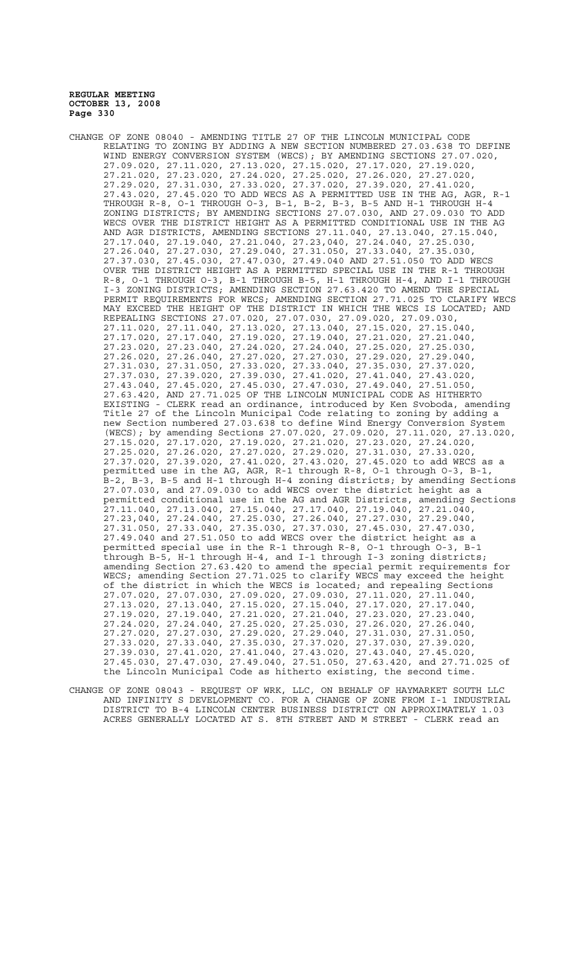- CHANGE OF ZONE 08040 AMENDING TITLE 27 OF THE LINCOLN MUNICIPAL CODE RELATING TO ZONING BY ADDING A NEW SECTION NUMBERED 27.03.638 TO DEFINE WIND ENERGY CONVERSION SYSTEM (WECS); BY AMENDING SECTIONS 27.07.020, 27.09.020, 27.11.020, 27.13.020, 27.15.020, 27.17.020, 27.19.020, 27.21.020, 27.23.020, 27.24.020, 27.25.020, 27.26.020, 27.27.020, 27.29.020, 27.31.030, 27.33.020, 27.37.020, 27.39.020, 27.41.020, 27.43.020, 27.45.020 TO ADD WECS AS A PERMITTED USE IN THE AG, AGR, R-1 THROUGH R-8, O-1 THROUGH O-3, B-1, B-2, B-3, B-5 AND H-1 THROUGH H-4 ZONING DISTRICTS; BY AMENDING SECTIONS 27.07.030, AND 27.09.030 TO ADD WECS OVER THE DISTRICT HEIGHT AS A PERMITTED CONDITIONAL USE IN THE AG AND AGR DISTRICTS, AMENDING SECTIONS 27.11.040, 27.13.040, 27.15.040, 27.17.040, 27.19.040, 27.21.040, 27.23,040, 27.24.040, 27.25.030, 27.26.040, 27.27.030, 27.29.040, 27.31.050, 27.33.040, 27.35.030, 27.37.030, 27.45.030, 27.47.030, 27.49.040 AND 27.51.050 TO ADD WECS OVER THE DISTRICT HEIGHT AS A PERMITTED SPECIAL USE IN THE R-1 THROUGH R-8, O-1 THROUGH O-3, B-1 THROUGH B-5, H-1 THROUGH H-4, AND I-1 THROUGH I-3 ZONING DISTRICTS; AMENDING SECTION 27.63.420 TO AMEND THE SPECIAL PERMIT REQUIREMENTS FOR WECS; AMENDING SECTION 27.71.025 TO CLARIFY WECS MAY EXCEED THE HEIGHT OF THE DISTRICT IN WHICH THE WECS IS LOCATED; AND REPEALING SECTIONS 27.07.020, 27.07.030, 27.09.020, 27.09.030, 27.11.020, 27.11.040, 27.13.020, 27.13.040, 27.15.020, 27.15.040, 27.17.020, 27.17.040, 27.19.020, 27.19.040, 27.21.020, 27.21.040, 27.23.020, 27.23.040, 27.24.020, 27.24.040, 27.25.020, 27.25.030, 27.26.020, 27.26.040, 27.27.020, 27.27.030, 27.29.020, 27.29.040, 27.31.030, 27.31.050, 27.33.020, 27.33.040, 27.35.030, 27.37.020, 27.37.030, 27.39.020, 27.39.030, 27.41.020, 27.41.040, 27.43.020, 27.43.040, 27.45.020, 27.45.030, 27.47.030, 27.49.040, 27.51.050, 27.63.420, AND 27.71.025 OF THE LINCOLN MUNICIPAL CODE AS HITHERTO EXISTING - CLERK read an ordinance, introduced by Ken Svoboda, amending Title 27 of the Lincoln Municipal Code relating to zoning by adding a new Section numbered 27.03.638 to define Wind Energy Conversion System (WECS); by amending Sections 27.07.020, 27.09.020, 27.11.020, 27.13.020, 27.15.020, 27.17.020, 27.19.020, 27.21.020, 27.23.020, 27.24.020, 27.25.020, 27.26.020, 27.27.020, 27.29.020, 27.31.030, 27.33.020, 27.37.020, 27.39.020, 27.41.020, 27.43.020, 27.45.020 to add WECS as a permitted use in the AG, AGR, R-1 through R-8, O-1 through O-3, B-1, B-2, B-3, B-5 and H-1 through H-4 zoning districts; by amending Sections 27.07.030, and 27.09.030 to add WECS over the district height as a permitted conditional use in the AG and AGR Districts, amending Sections 27.11.040, 27.13.040, 27.15.040, 27.17.040, 27.19.040, 27.21.040, 27.23,040, 27.24.040, 27.25.030, 27.26.040, 27.27.030, 27.29.040, 27.31.050, 27.33.040, 27.35.030, 27.37.030, 27.45.030, 27.47.030, 27.49.040 and 27.51.050 to add WECS over the district height as a permitted special use in the R-1 through R-8, O-1 through O-3, B-1 through B-5, H-1 through H-4, and I-1 through I-3 zoning districts; amending Section 27.63.420 to amend the special permit requirements for WECS; amending Section 27.71.025 to clarify WECS may exceed the height of the district in which the WECS is located; and repealing Sections 27.07.020, 27.07.030, 27.09.020, 27.09.030, 27.11.020, 27.11.040, 27.13.020, 27.13.040, 27.15.020, 27.15.040, 27.17.020, 27.17.040, 27.19.020, 27.19.040, 27.21.020, 27.21.040, 27.23.020, 27.23.040, 27.24.020, 27.24.040, 27.25.020, 27.25.030, 27.26.020, 27.26.040, 27.27.020, 27.27.030, 27.29.020, 27.29.040, 27.31.030, 27.31.050, 27.33.020, 27.33.040, 27.35.030, 27.37.020, 27.37.030, 27.39.020, 27.39.030, 27.41.020, 27.41.040, 27.43.020, 27.43.040, 27.45.020, 27.45.030, 27.47.030, 27.49.040, 27.51.050, 27.63.420, and 27.71.025 of the Lincoln Municipal Code as hitherto existing, the second time.
- CHANGE OF ZONE 08043 REQUEST OF WRK, LLC, ON BEHALF OF HAYMARKET SOUTH LLC AND INFINITY S DEVELOPMENT CO. FOR A CHANGE OF ZONE FROM I-1 INDUSTRIAL DISTRICT TO B-4 LINCOLN CENTER BUSINESS DISTRICT ON APPROXIMATELY 1.03 ACRES GENERALLY LOCATED AT S. 8TH STREET AND M STREET - CLERK read an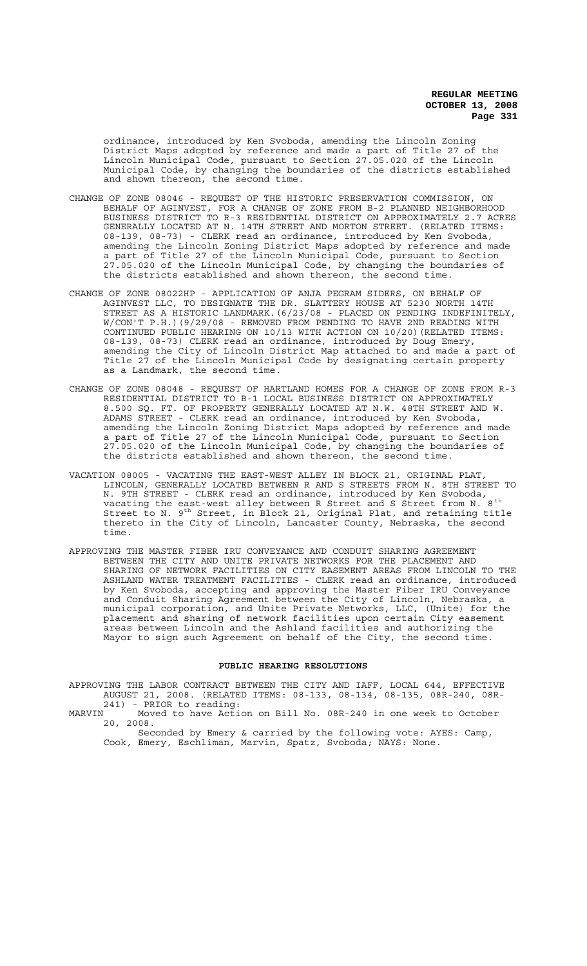ordinance, introduced by Ken Svoboda, amending the Lincoln Zoning District Maps adopted by reference and made a part of Title 27 of the Lincoln Municipal Code, pursuant to Section 27.05.020 of the Lincoln Municipal Code, by changing the boundaries of the districts established and shown thereon, the second time.

- CHANGE OF ZONE 08046 REQUEST OF THE HISTORIC PRESERVATION COMMISSION, ON BEHALF OF AGINVEST, FOR A CHANGE OF ZONE FROM B-2 PLANNED NEIGHBORHOOD BUSINESS DISTRICT TO R-3 RESIDENTIAL DISTRICT ON APPROXIMATELY 2.7 ACRES GENERALLY LOCATED AT N. 14TH STREET AND MORTON STREET. (RELATED ITEMS: 08-139, 08-73) - CLERK read an ordinance, introduced by Ken Svoboda, amending the Lincoln Zoning District Maps adopted by reference and made a part of Title 27 of the Lincoln Municipal Code, pursuant to Section 27.05.020 of the Lincoln Municipal Code, by changing the boundaries of the districts established and shown thereon, the second time.
- CHANGE OF ZONE 08022HP APPLICATION OF ANJA PEGRAM SIDERS, ON BEHALF OF AGINVEST LLC, TO DESIGNATE THE DR. SLATTERY HOUSE AT 5230 NORTH 14TH STREET AS A HISTORIC LANDMARK.(6/23/08 - PLACED ON PENDING INDEFINITELY, W/CON'T P.H.)(9/29/08 - REMOVED FROM PENDING TO HAVE 2ND READING WITH CONTINUED PUBLIC HEARING ON 10/13 WITH ACTION ON 10/20)(RELATED ITEMS: 08-139, 08-73) CLERK read an ordinance, introduced by Doug Emery, amending the City of Lincoln District Map attached to and made a part of Title 27 of the Lincoln Municipal Code by designating certain property as a Landmark, the second time.
- CHANGE OF ZONE 08048 REQUEST OF HARTLAND HOMES FOR A CHANGE OF ZONE FROM R-3 RESIDENTIAL DISTRICT TO B-1 LOCAL BUSINESS DISTRICT ON APPROXIMATELY 8.500 SQ. FT. OF PROPERTY GENERALLY LOCATED AT N.W. 48TH STREET AND W. ADAMS STREET - CLERK read an ordinance, introduced by Ken Svoboda, amending the Lincoln Zoning District Maps adopted by reference and made a part of Title 27 of the Lincoln Municipal Code, pursuant to Section 27.05.020 of the Lincoln Municipal Code, by changing the boundaries of the districts established and shown thereon, the second time.
- VACATION 08005 VACATING THE EAST-WEST ALLEY IN BLOCK 21, ORIGINAL PLAT, LINCOLN, GENERALLY LOCATED BETWEEN R AND S STREETS FROM N. 8TH STREET TO N. 9TH STREET - CLERK read an ordinance, introduced by Ken Svoboda, vacating the east-west alley between R Street and S Street from N.  $8^{\rm th}$ Street to N. 9<sup>th</sup> Street, in Block 21, Original Plat, and retaining title thereto in the City of Lincoln, Lancaster County, Nebraska, the second time.
- APPROVING THE MASTER FIBER IRU CONVEYANCE AND CONDUIT SHARING AGREEMENT BETWEEN THE CITY AND UNITE PRIVATE NETWORKS FOR THE PLACEMENT AND SHARING OF NETWORK FACILITIES ON CITY EASEMENT AREAS FROM LINCOLN TO THE ASHLAND WATER TREATMENT FACILITIES - CLERK read an ordinance, introduced ASHLAND WATER TREATMENT FACILITIES - CLERK read an ordinance, introduced by Ken Svoboda, accepting and approving the Master Fiber IRU Conveyance and Conduit Sharing Agreement between the City of Lincoln, Nebraska, a municipal corporation, and Unite Private Networks, LLC, (Unite) for the placement and sharing of network facilities upon certain City easement areas between Lincoln and the Ashland facilities and authorizing the Mayor to sign such Agreement on behalf of the City, the second time.

#### **PUBLIC HEARING RESOLUTIONS**

APPROVING THE LABOR CONTRACT BETWEEN THE CITY AND IAFF, LOCAL 644, EFFECTIVE AUGUST 21, 2008. (RELATED ITEMS: 08-133, 08-134, 08-135, 08R-240, 08R-241) - PRIOR to reading:

MARVIN Moved to have Action on Bill No. 08R-240 in one week to October 20, 2008.

Seconded by Emery & carried by the following vote: AYES: Camp, Cook, Emery, Eschliman, Marvin, Spatz, Svoboda; NAYS: None.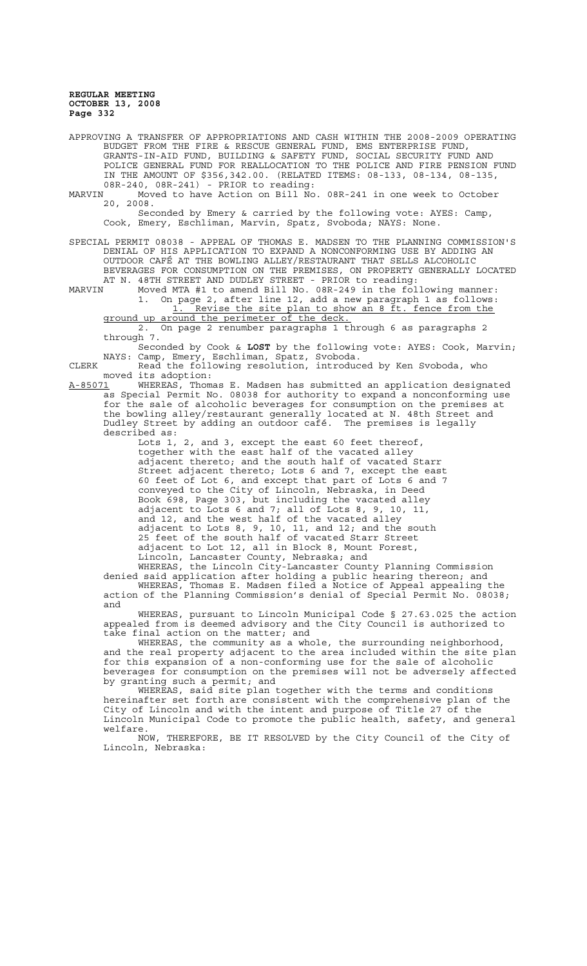APPROVING A TRANSFER OF APPROPRIATIONS AND CASH WITHIN THE 2008-2009 OPERATING BUDGET FROM THE FIRE & RESCUE GENERAL FUND, EMS ENTERPRISE FUND, GRANTS-IN-AID FUND, BUILDING & SAFETY FUND, SOCIAL SECURITY FUND AND POLICE GENERAL FUND FOR REALLOCATION TO THE POLICE AND FIRE PENSION FUND IN THE AMOUNT OF \$356,342.00. (RELATED ITEMS: 08-133, 08-134, 08-135, 08R-240, 08R-241) - PRIOR to reading:

MARVIN Moved to have Action on Bill No. 08R-241 in one week to October 20, 2008.

Seconded by Emery & carried by the following vote: AYES: Camp, Cook, Emery, Eschliman, Marvin, Spatz, Svoboda; NAYS: None.

SPECIAL PERMIT 08038 - APPEAL OF THOMAS E. MADSEN TO THE PLANNING COMMISSION'S DENIAL OF HIS APPLICATION TO EXPAND A NONCONFORMING USE BY ADDING AN OUTDOOR CAFÉ AT THE BOWLING ALLEY/RESTAURANT THAT SELLS ALCOHOLIC BEVERAGES FOR CONSUMPTION ON THE PREMISES, ON PROPERTY GENERALLY LOCATED AT N. 48TH STREET AND DUDLEY STREET - PRIOR to reading:

MARVIN Moved MTA #1 to amend Bill No. 08R-249 in the following manner: 1. On page 2, after line 12, add a new paragraph 1 as follows: 1. Revise the site plan to show an 8 ft. fence from the ground up around the perimeter of the deck.

2. On page 2 renumber paragraphs 1 through 6 as paragraphs 2 through 7.

Seconded by Cook & **LOST** by the following vote: AYES: Cook, Marvin; NAYS: Camp, Emery, Eschliman, Spatz, Svoboda.

CLERK Read the following resolution, introduced by Ken Svoboda, who moved its adoption:<br><u>A-85071</u> WHEREAS, Thoma

WHEREAS, Thomas E. Madsen has submitted an application designated as Special Permit No. 08038 for authority to expand a nonconforming use for the sale of alcoholic beverages for consumption on the premises at the bowling alley/restaurant generally located at N. 48th Street and Dudley Street by adding an outdoor café. The premises is legally described as:

Lots 1, 2, and 3, except the east 60 feet thereof, together with the east half of the vacated alley adjacent thereto; and the south half of vacated Starr Street adjacent thereto; Lots 6 and 7, except the east 60 feet of Lot 6, and except that part of Lots 6 and 7 conveyed to the City of Lincoln, Nebraska, in Deed Book 698, Page 303, but including the vacated alley adjacent to Lots 6 and 7; all of Lots 8, 9, 10, 11, and 12, and the west half of the vacated alley adjacent to Lots 8, 9, 10, 11, and 12; and the south 25 feet of the south half of vacated Starr Street adjacent to Lot 12, all in Block 8, Mount Forest, Lincoln, Lancaster County, Nebraska; and

WHEREAS, the Lincoln City-Lancaster County Planning Commission denied said application after holding a public hearing thereon; and WHEREAS, Thomas E. Madsen filed a Notice of Appeal appealing the WHEREAS, Thomas E. Madsen filed a Notice of Appeal appealing the action of the Planning Commission's denial of Special Permit No. 08038; and

WHEREAS, pursuant to Lincoln Municipal Code § 27.63.025 the action appealed from is deemed advisory and the City Council is authorized to take final action on the matter; and

WHEREAS, the community as a whole, the surrounding neighborhood, and the real property adjacent to the area included within the site plan for this expansion of a non-conforming use for the sale of alcoholic beverages for consumption on the premises will not be adversely affected by granting such a permit; and

WHEREAS, said site plan together with the terms and conditions hereinafter set forth are consistent with the comprehensive plan of the City of Lincoln and with the intent and purpose of Title 27 of the Lincoln Municipal Code to promote the public health, safety, and general welfare.

NOW, THEREFORE, BE IT RESOLVED by the City Council of the City of Lincoln, Nebraska: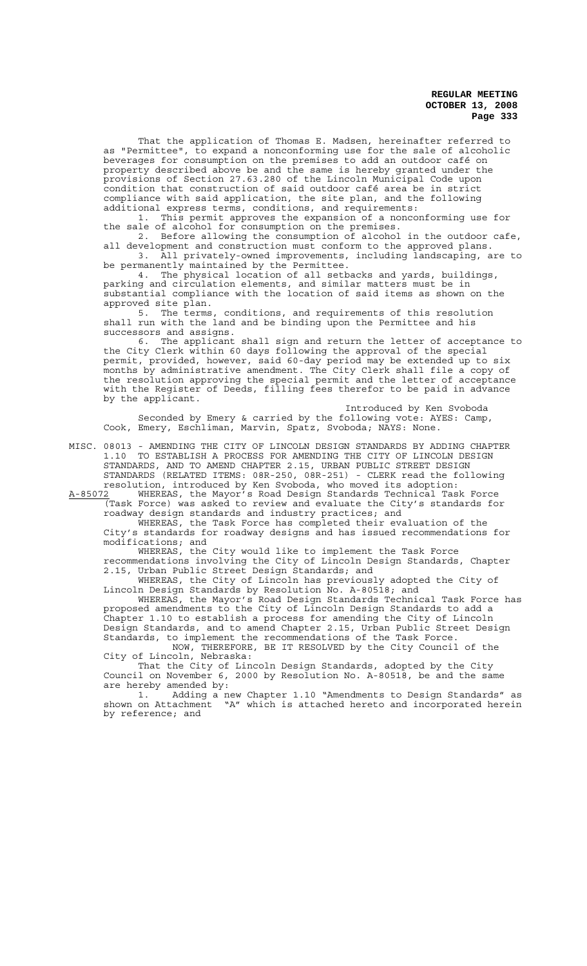That the application of Thomas E. Madsen, hereinafter referred to as "Permittee", to expand a nonconforming use for the sale of alcoholic beverages for consumption on the premises to add an outdoor café on property described above be and the same is hereby granted under the provisions of Section 27.63.280 of the Lincoln Municipal Code upon condition that construction of said outdoor café area be in strict compliance with said application, the site plan, and the following additional express terms, conditions, and requirements:

1. This permit approves the expansion of a nonconforming use for the sale of alcohol for consumption on the premises.

2. Before allowing the consumption of alcohol in the outdoor cafe, all development and construction must conform to the approved plans. 3. All privately-owned improvements, including landscaping, are to

be permanently maintained by the Permittee. 4. The physical location of all setbacks and yards, buildings, parking and circulation elements, and similar matters must be in substantial compliance with the location of said items as shown on the approved site plan.

5. The terms, conditions, and requirements of this resolution shall run with the land and be binding upon the Permittee and his successors and assigns.

6. The applicant shall sign and return the letter of acceptance to the City Clerk within 60 days following the approval of the special permit, provided, however, said 60-day period may be extended up to six months by administrative amendment. The City Clerk shall file a copy of the resolution approving the special permit and the letter of acceptance with the Register of Deeds, filling fees therefor to be paid in advance by the applicant.

Introduced by Ken Svoboda Seconded by Emery & carried by the following vote: AYES: Camp, Cook, Emery, Eschliman, Marvin, Spatz, Svoboda; NAYS: None.

MISC. 08013 - AMENDING THE CITY OF LINCOLN DESIGN STANDARDS BY ADDING CHAPTER 1.10 TO ESTABLISH A PROCESS FOR AMENDING THE CITY OF LINCOLN DESIGN STANDARDS, AND TO AMEND CHAPTER 2.15, URBAN PUBLIC STREET DESIGN STANDARDS (RELATED ITEMS: 08R-250, 08R-251) - CLERK read the following resolution, introduced by Ken Svoboda, who moved its adoption:

A-85072 WHEREAS, the Mayor's Road Design Standards Technical Task Force (Task Force) was asked to review and evaluate the City's standards for roadway design standards and industry practices; and

WHEREAS, the Task Force has completed their evaluation of the City's standards for roadway designs and has issued recommendations for modifications; and

WHEREAS, the City would like to implement the Task Force recommendations involving the City of Lincoln Design Standards, Chapter 2.15, Urban Public Street Design Standards; and

WHEREAS, the City of Lincoln has previously adopted the City of Lincoln Design Standards by Resolution No. A-80518; and

WHEREAS, the Mayor's Road Design Standards Technical Task Force has proposed amendments to the City of Lincoln Design Standards to add a Chapter 1.10 to establish a process for amending the City of Lincoln Design Standards, and to amend Chapter 2.15, Urban Public Street Design Standards, to implement the recommendations of the Task Force. NOW, THEREFORE, BE IT RESOLVED by the City Council of the

City of Lincoln, Nebraska: That the City of Lincoln Design Standards, adopted by the City

Council on November 6, 2000 by Resolution No. A-80518, be and the same are hereby amended by:

1. Adding a new Chapter 1.10 "Amendments to Design Standards" as shown on Attachment "A" which is attached hereto and incorporated herein by reference; and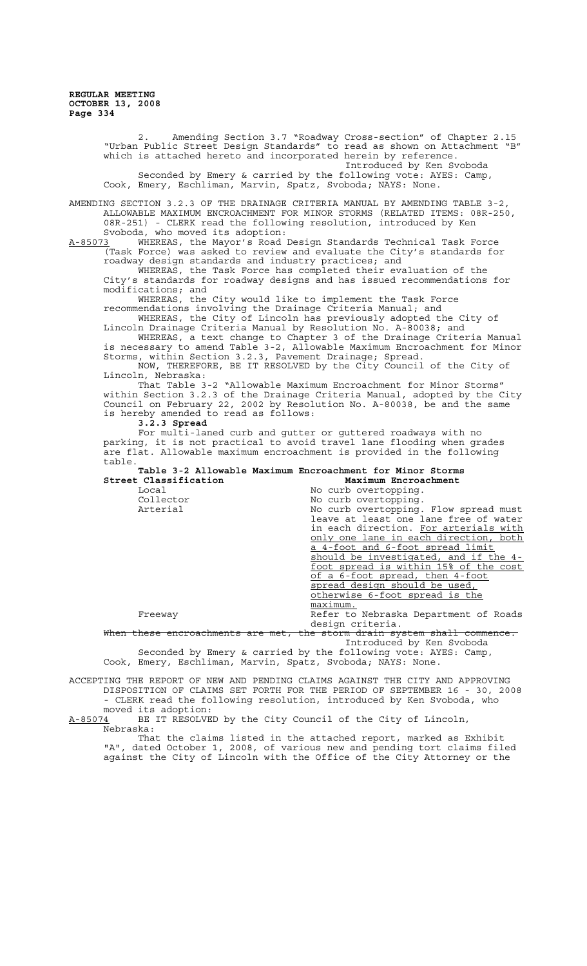2. Amending Section 3.7 "Roadway Cross-section" of Chapter 2.15 "Urban Public Street Design Standards" to read as shown on Attachment "B" which is attached hereto and incorporated herein by reference. Introduced by Ken Svoboda Seconded by Emery & carried by the following vote: AYES: Camp, Cook, Emery, Eschliman, Marvin, Spatz, Svoboda; NAYS: None. AMENDING SECTION 3.2.3 OF THE DRAINAGE CRITERIA MANUAL BY AMENDING TABLE 3-2, ALLOWABLE MAXIMUM ENCROACHMENT FOR MINOR STORMS (RELATED ITEMS: 08R-250, 08R-251) - CLERK read the following resolution, introduced by Ken Svoboda, who moved its adoption:<br>A-85073 WHEREAS, the Mayor's Road WHEREAS, the Mayor's Road Design Standards Technical Task Force (Task Force) was asked to review and evaluate the City's standards for roadway design standards and industry practices; and WHEREAS, the Task Force has completed their evaluation of the City's standards for roadway designs and has issued recommendations for modifications; and WHEREAS, the City would like to implement the Task Force recommendations involving the Drainage Criteria Manual; and WHEREAS, the City of Lincoln has previously adopted the City of Lincoln Drainage Criteria Manual by Resolution No. A-80038; and WHEREAS, a text change to Chapter 3 of the Drainage Criteria Manual is necessary to amend Table 3-2, Allowable Maximum Encroachment for Minor Storms, within Section 3.2.3, Pavement Drainage; Spread. NOW, THEREFORE, BE IT RESOLVED by the City Council of the City of Lincoln, Nebraska: That Table 3-2 "Allowable Maximum Encroachment for Minor Storms" within Section 3.2.3 of the Drainage Criteria Manual, adopted by the City Council on February 22, 2002 by Resolution No. A-80038, be and the same is hereby amended to read as follows: **3.2.3 Spread** For multi-laned curb and gutter or guttered roadways with no parking, it is not practical to avoid travel lane flooding when grades are flat. Allowable maximum encroachment is provided in the following table. **Table 3-2 Allowable Maximum Encroachment for Minor Storms Street Classification**<br>Local Local No curb overtopping. Collector  $\begin{array}{ccc}\n\text{No} \text{ curb} \text{ overtoping.} \\
\text{Arterial} \text{No} \text{ curb} \text{ overtopping.}\n\end{array}$ No curb overtopping. Flow spread must leave at least one lane free of water in each direction. For arterials with only one lane in each direction, both a 4-foot and 6-foot spread limit should be investigated, and if the 4-<br>foot spread is within 15% of the cost foot spread is within 15% of of a 6-foot spread, then 4-foot spread design should be used, otherwise 6-foot spread is the maximum. Freeway **Refer to Nebraska Department of Roads** design criteria.<br><del>the storm drain sy</del>: When these encroachments are met, the storm drain system shall commence. Introduced by Ken Svoboda Seconded by Emery & carried by the following vote: AYES: Camp, Cook, Emery, Eschliman, Marvin, Spatz, Svoboda; NAYS: None. ACCEPTING THE REPORT OF NEW AND PENDING CLAIMS AGAINST THE CITY AND APPROVING DISPOSITION OF CLAIMS SET FORTH FOR THE PERIOD OF SEPTEMBER 16 - 30, 2008 - CLERK read the following resolution, introduced by Ken Svoboda, who

moved its adoption:<br>A-85074 BE IT RESOLVE BE IT RESOLVED by the City Council of the City of Lincoln, Nebraska:

That the claims listed in the attached report, marked as Exhibit "A", dated October 1, 2008, of various new and pending tort claims filed against the City of Lincoln with the Office of the City Attorney or the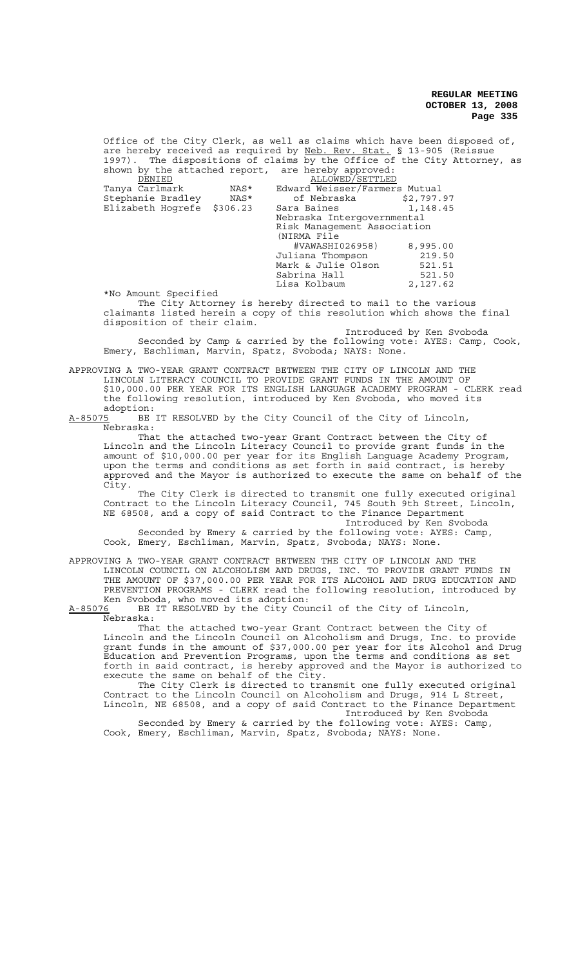Office of the City Clerk, as well as claims which have been disposed of, are hereby received as required by Neb. Rev. Stat. § 13-905 (Reissue 1997). The dispositions of claims by the Office of the City Attorney, as shown by the attached report, are hereby approved:

| DENIED               |          | ALLOWED/SETTLED               |            |  |
|----------------------|----------|-------------------------------|------------|--|
| Tanya Carlmark       | NAS*     | Edward Weisser/Farmers Mutual |            |  |
| Stephanie Bradley    | NAS*     | of Nebraska                   | \$2,797.97 |  |
| Elizabeth Hogrefe    | \$306.23 | Sara Baines                   | 1,148.45   |  |
|                      |          | Nebraska Intergovernmental    |            |  |
|                      |          | Risk Management Association   |            |  |
|                      |          | (NIRMA File                   |            |  |
|                      |          | #VAWASHI026958)               | 8,995.00   |  |
|                      |          | Juliana Thompson              | 219.50     |  |
|                      |          | Mark & Julie Olson            | 521.51     |  |
|                      |          | Sabrina Hall                  | 521.50     |  |
|                      |          | Lisa Kolbaum                  | 2,127.62   |  |
| *No Amount Specified |          |                               |            |  |

The City Attorney is hereby directed to mail to the various claimants listed herein a copy of this resolution which shows the final disposition of their claim.

Introduced by Ken Svoboda Seconded by Camp & carried by the following vote: AYES: Camp, Cook, Emery, Eschliman, Marvin, Spatz, Svoboda; NAYS: None.

APPROVING A TWO-YEAR GRANT CONTRACT BETWEEN THE CITY OF LINCOLN AND THE LINCOLN LITERACY COUNCIL TO PROVIDE GRANT FUNDS IN THE AMOUNT OF \$10,000.00 PER YEAR FOR ITS ENGLISH LANGUAGE ACADEMY PROGRAM - CLERK read<br>the following resolution, introduced by Ken Svoboda, who moved its following resolution, introduced by Ken Svoboda, who moved its

adoption:<br><u>A-85075</u> BE BE IT RESOLVED by the City Council of the City of Lincoln, Nebraska:

That the attached two-year Grant Contract between the City of Lincoln and the Lincoln Literacy Council to provide grant funds in the amount of \$10,000.00 per year for its English Language Academy Program, upon the terms and conditions as set forth in said contract, is hereby approved and the Mayor is authorized to execute the same on behalf of the City.

The City Clerk is directed to transmit one fully executed original Contract to the Lincoln Literacy Council, 745 South 9th Street, Lincoln, NE 68508, and a copy of said Contract to the Finance Department

Introduced by Ken Svoboda Seconded by Emery & carried by the following vote: AYES: Camp, Cook, Emery, Eschliman, Marvin, Spatz, Svoboda; NAYS: None.

APPROVING A TWO-YEAR GRANT CONTRACT BETWEEN THE CITY OF LINCOLN AND THE LINCOLN COUNCIL ON ALCOHOLISM AND DRUGS, INC. TO PROVIDE GRANT FUNDS IN THE AMOUNT OF \$37,000.00 PER YEAR FOR ITS ALCOHOL AND DRUG EDUCATION AND PREVENTION PROGRAMS - CLERK read the following resolution, introduced by Ken Svoboda, who moved its adoption:<br>A-85076 BE IT RESOLVED by the City Cou

BE IT RESOLVED by the City Council of the City of Lincoln, Nebraska:

That the attached two-year Grant Contract between the City of Lincoln and the Lincoln Council on Alcoholism and Drugs, Inc. to provide grant funds in the amount of \$37,000.00 per year for its Alcohol and Drug Education and Prevention Programs, upon the terms and conditions as set forth in said contract, is hereby approved and the Mayor is authorized to execute the same on behalf of the City.

The City Clerk is directed to transmit one fully executed original Contract to the Lincoln Council on Alcoholism and Drugs, 914 L Street, Lincoln, NE 68508, and a copy of said Contract to the Finance Department Introduced by Ken Svoboda

Seconded by Emery & carried by the following vote: AYES: Camp, Cook, Emery, Eschliman, Marvin, Spatz, Svoboda; NAYS: None.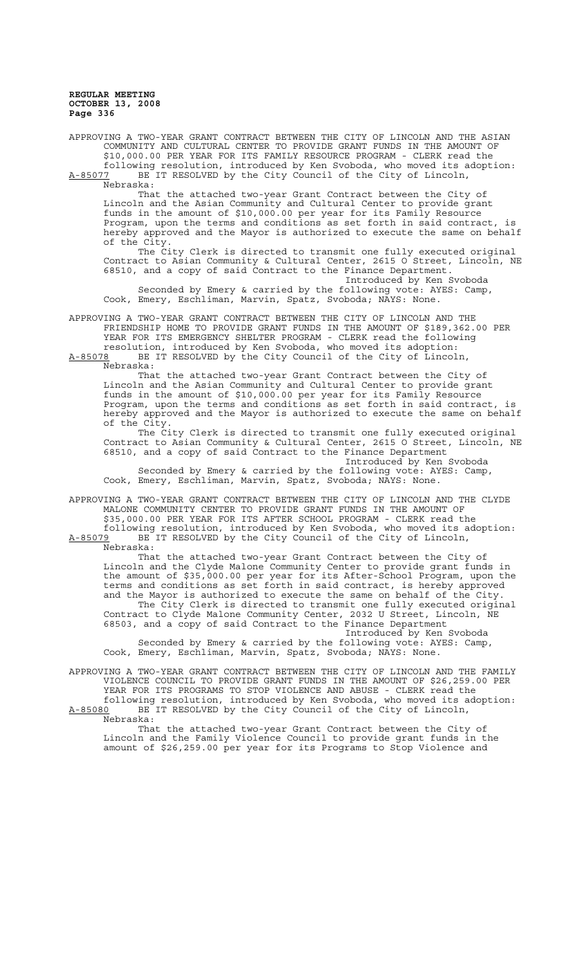APPROVING A TWO-YEAR GRANT CONTRACT BETWEEN THE CITY OF LINCOLN AND THE ASIAN COMMUNITY AND CULTURAL CENTER TO PROVIDE GRANT FUNDS IN THE AMOUNT OF \$10,000.00 PER YEAR FOR ITS FAMILY RESOURCE PROGRAM - CLERK read the following resolution, introduced by Ken Svoboda, who moved its adoption: A-85077 BE IT RESOLVED by the City Council of the City of Lincoln,  $A-85077$  BE<br>Nebraska:

That the attached two-year Grant Contract between the City of Lincoln and the Asian Community and Cultural Center to provide grant funds in the amount of \$10,000.00 per year for its Family Resource Program, upon the terms and conditions as set forth in said contract, is hereby approved and the Mayor is authorized to execute the same on behalf of the City.

The City Clerk is directed to transmit one fully executed original Contract to Asian Community & Cultural Center, 2615 O Street, Lincoln, NE 68510, and a copy of said Contract to the Finance Department.

Introduced by Ken Svoboda Seconded by Emery & carried by the following vote: AYES: Camp, Cook, Emery, Eschliman, Marvin, Spatz, Svoboda; NAYS: None.

APPROVING A TWO-YEAR GRANT CONTRACT BETWEEN THE CITY OF LINCOLN AND THE FRIENDSHIP HOME TO PROVIDE GRANT FUNDS IN THE AMOUNT OF \$189,362.00 PER YEAR FOR ITS EMERGENCY SHELTER PROGRAM - CLERK read the following

resolution, introduced by Ken Svoboda, who moved its adoption:<br>A-85078 BE IT RESOLVED by the City Council of the City of Lincol BE IT RESOLVED by the City Council of the City of Lincoln Nebraska:

That the attached two-year Grant Contract between the City of Lincoln and the Asian Community and Cultural Center to provide grant funds in the amount of \$10,000.00 per year for its Family Resource Program, upon the terms and conditions as set forth in said contract, is hereby approved and the Mayor is authorized to execute the same on behalf of the City.

The City Clerk is directed to transmit one fully executed original Contract to Asian Community & Cultural Center, 2615 O Street, Lincoln, NE 68510, and a copy of said Contract to the Finance Department

Introduced by Ken Svoboda Seconded by Emery & carried by the following vote: AYES: Camp, Cook, Emery, Eschliman, Marvin, Spatz, Svoboda; NAYS: None.

APPROVING A TWO-YEAR GRANT CONTRACT BETWEEN THE CITY OF LINCOLN AND THE CLYDE MALONE COMMUNITY CENTER TO PROVIDE GRANT FUNDS IN THE AMOUNT OF \$35,000.00 PER YEAR FOR ITS AFTER SCHOOL PROGRAM - CLERK read the

following resolution, introduced by Ken Svoboda, who moved its adoption: A-85079 BE IT RESOLVED by the City Council of the City of Lincoln, Nebraska:

That the attached two-year Grant Contract between the City of Lincoln and the Clyde Malone Community Center to provide grant funds in the amount of \$35,000.00 per year for its After-School Program, upon the terms and conditions as set forth in said contract, is hereby approved and the Mayor is authorized to execute the same on behalf of the City. The City Clerk is directed to transmit one fully executed original Contract to Clyde Malone Community Center, 2032 U Street, Lincoln, NE 68503, and a copy of said Contract to the Finance Department

Introduced by Ken Svoboda Seconded by Emery & carried by the following vote: AYES: Camp, Cook, Emery, Eschliman, Marvin, Spatz, Svoboda; NAYS: None.

APPROVING A TWO-YEAR GRANT CONTRACT BETWEEN THE CITY OF LINCOLN AND THE FAMILY VIOLENCE COUNCIL TO PROVIDE GRANT FUNDS IN THE AMOUNT OF \$26,259.00 PER YEAR FOR ITS PROGRAMS TO STOP VIOLENCE AND ABUSE - CLERK read the following resolution, introduced by Ken Svoboda, who moved its adoption: A-85080 BE IT RESOLVED by the City Council of the City of Lincoln,

Nebraska:

That the attached two-year Grant Contract between the City of Lincoln and the Family Violence Council to provide grant funds in the amount of \$26,259.00 per year for its Programs to Stop Violence and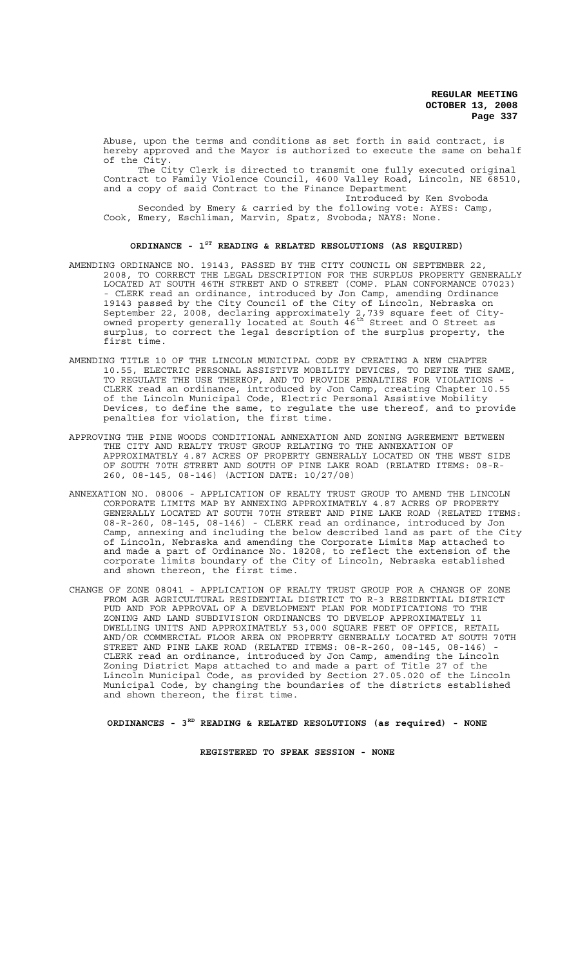Abuse, upon the terms and conditions as set forth in said contract, is hereby approved and the Mayor is authorized to execute the same on behalf of the City.

The City Clerk is directed to transmit one fully executed original Contract to Family Violence Council, 4600 Valley Road, Lincoln, NE 68510, and a copy of said Contract to the Finance Department

Introduced by Ken Svoboda Seconded by Emery & carried by the following vote: AYES: Camp, Cook, Emery, Eschliman, Marvin, Spatz, Svoboda; NAYS: None.

# **ORDINANCE - 1ST READING & RELATED RESOLUTIONS (AS REQUIRED)**

- AMENDING ORDINANCE NO. 19143, PASSED BY THE CITY COUNCIL ON SEPTEMBER 22, 2008, TO CORRECT THE LEGAL DESCRIPTION FOR THE SURPLUS PROPERTY GENERALLY LOCATED AT SOUTH 46TH STREET AND O STREET (COMP. PLAN CONFORMANCE 07023) - CLERK read an ordinance, introduced by Jon Camp, amending Ordinance 19143 passed by the City Council of the City of Lincoln, Nebraska on September 22, 2008, declaring approximately 2,739 square feet of Cityowned property generally located at South 46<sup>th</sup> Street and O Street as surplus, to correct the legal description of the surplus property, the first time.
- AMENDING TITLE 10 OF THE LINCOLN MUNICIPAL CODE BY CREATING A NEW CHAPTER 10.55, ELECTRIC PERSONAL ASSISTIVE MOBILITY DEVICES, TO DEFINE THE SAME, TO REGULATE THE USE THEREOF, AND TO PROVIDE PENALTIES FOR VIOLATIONS CLERK read an ordinance, introduced by Jon Camp, creating Chapter 10.55 of the Lincoln Municipal Code, Electric Personal Assistive Mobility Devices, to define the same, to regulate the use thereof, and to provide penalties for violation, the first time.
- APPROVING THE PINE WOODS CONDITIONAL ANNEXATION AND ZONING AGREEMENT BETWEEN THE CITY AND REALTY TRUST GROUP RELATING TO THE ANNEXATION OF APPROXIMATELY 4.87 ACRES OF PROPERTY GENERALLY LOCATED ON THE WEST SIDE OF SOUTH 70TH STREET AND SOUTH OF PINE LAKE ROAD (RELATED ITEMS: 08-R-260, 08-145, 08-146) (ACTION DATE: 10/27/08)
- ANNEXATION NO. 08006 APPLICATION OF REALTY TRUST GROUP TO AMEND THE LINCOLN CORPORATE LIMITS MAP BY ANNEXING APPROXIMATELY 4.87 ACRES OF PROPERTY GENERALLY LOCATED AT SOUTH 70TH STREET AND PINE LAKE ROAD (RELATED ITEMS: 08-R-260, 08-145, 08-146) - CLERK read an ordinance, introduced by Jon Camp, annexing and including the below described land as part of the City of Lincoln, Nebraska and amending the Corporate Limits Map attached to and made a part of Ordinance No. 18208, to reflect the extension of the corporate limits boundary of the City of Lincoln, Nebraska established and shown thereon, the first time.
- CHANGE OF ZONE 08041 APPLICATION OF REALTY TRUST GROUP FOR A CHANGE OF ZONE FROM AGR AGRICULTURAL RESIDENTIAL DISTRICT TO R-3 RESIDENTIAL DISTRICT PUD AND FOR APPROVAL OF A DEVELOPMENT PLAN FOR MODIFICATIONS TO THE ZONING AND LAND SUBDIVISION ORDINANCES TO DEVELOP APPROXIMATELY 11 DWELLING UNITS AND APPROXIMATELY 53,000 SQUARE FEET OF OFFICE, RETAIL AND/OR COMMERCIAL FLOOR AREA ON PROPERTY GENERALLY LOCATED AT SOUTH 70TH STREET AND PINE LAKE ROAD (RELATED ITEMS: 08-R-260, 08-145, 08-146) CLERK read an ordinance, introduced by Jon Camp, amending the Lincoln Zoning District Maps attached to and made a part of Title 27 of the Lincoln Municipal Code, as provided by Section 27.05.020 of the Lincoln Municipal Code, by changing the boundaries of the districts established and shown thereon, the first time.

**ORDINANCES - 3RD READING & RELATED RESOLUTIONS (as required) - NONE**

**REGISTERED TO SPEAK SESSION - NONE**